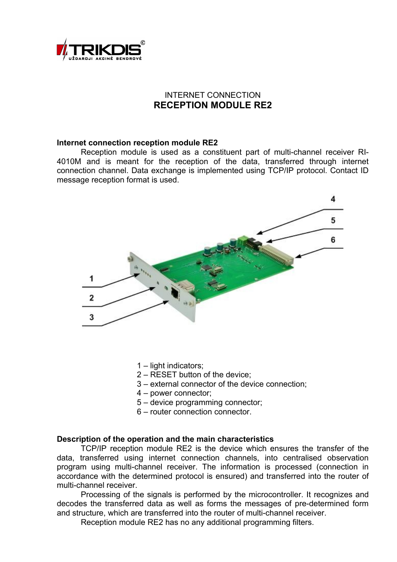

# INTERNET CONNECTION **RECEPTION MODULE RE2**

#### **Internet connection reception module RE2**

Reception module is used as a constituent part of multi-channel receiver RI-4010M and is meant for the reception of the data, transferred through internet connection channel. Data exchange is implemented using TCP/IP protocol. Contact ID message reception format is used.



- 1 light indicators;
- 2 RESET button of the device;
- 3 external connector of the device connection;
- 4 power connector;
- 5 device programming connector;
- 6 router connection connector.

#### **Description of the operation and the main characteristics**

TCP/IP reception module RE2 is the device which ensures the transfer of the data, transferred using internet connection channels, into centralised observation program using multi-channel receiver. The information is processed (connection in accordance with the determined protocol is ensured) and transferred into the router of multi-channel receiver.

Processing of the signals is performed by the microcontroller. It recognizes and decodes the transferred data as well as forms the messages of pre-determined form and structure, which are transferred into the router of multi-channel receiver.

Reception module RE2 has no any additional programming filters.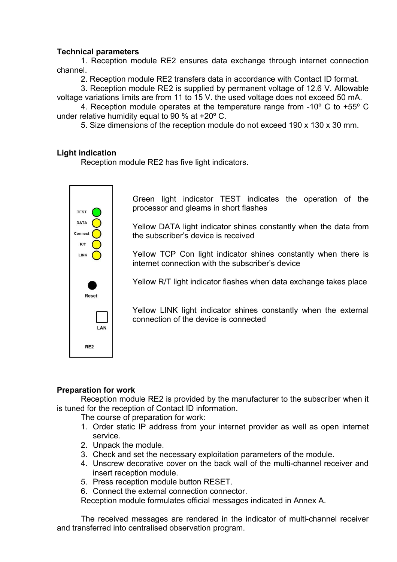## **Technical parameters**

1. Reception module RE2 ensures data exchange through internet connection channel.

2. Reception module RE2 transfers data in accordance with Contact ID format.

3. Reception module RE2 is supplied by permanent voltage of 12.6 V. Allowable voltage variations limits are from 11 to 15 V. the used voltage does not exceed 50 mA.

4. Reception module operates at the temperature range from -10º C to +55º C under relative humidity equal to 90 % at  $+20^{\circ}$  C.

5. Size dimensions of the reception module do not exceed 190 x 130 x 30 mm.

## **Light indication**

Reception module RE2 has five light indicators.



Green light indicator TEST indicates the operation of the processor and gleams in short flashes

Yellow DATA light indicator shines constantly when the data from the subscriber's device is received

Yellow TCP Con light indicator shines constantly when there is internet connection with the subscriber's device

Yellow R/T light indicator flashes when data exchange takes place

Yellow LINK light indicator shines constantly when the external connection of the device is connected

### **Preparation for work**

Reception module RE2 is provided by the manufacturer to the subscriber when it is tuned for the reception of Contact ID information.

The course of preparation for work:

- 1. Order static IP address from your internet provider as well as open internet service.
- 2. Unpack the module.
- 3. Check and set the necessary exploitation parameters of the module.
- 4. Unscrew decorative cover on the back wall of the multi-channel receiver and insert reception module.
- 5. Press reception module button RESET.

6. Connect the external connection connector.

Reception module formulates official messages indicated in Annex A.

The received messages are rendered in the indicator of multi-channel receiver and transferred into centralised observation program.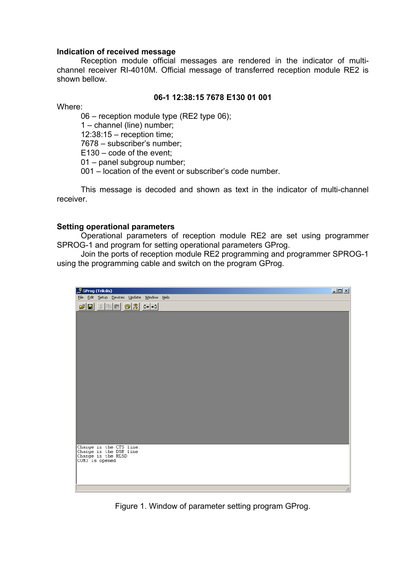### **Indication of received message**

Reception module official messages are rendered in the indicator of multichannel receiver RI-4010M. Official message of transferred reception module RE2 is shown bellow.

### **06-1 12:38:15 7678 E130 01 001**

Where:

06 – reception module type (RE2 type 06);

1 – channel (line) number;

12:38:15 – reception time;

7678 – subscriber's number;

E130 – code of the event;

01 – panel subgroup number;

001 – location of the event or subscriber's code number.

This message is decoded and shown as text in the indicator of multi-channel receiver.

### **Setting operational parameters**

Operational parameters of reception module RE2 are set using programmer SPROG-1 and program for setting operational parameters GProg.

Join the ports of reception module RE2 programming and programmer SPROG-1 using the programming cable and switch on the program GProg.



Figure 1. Window of parameter setting program GProg.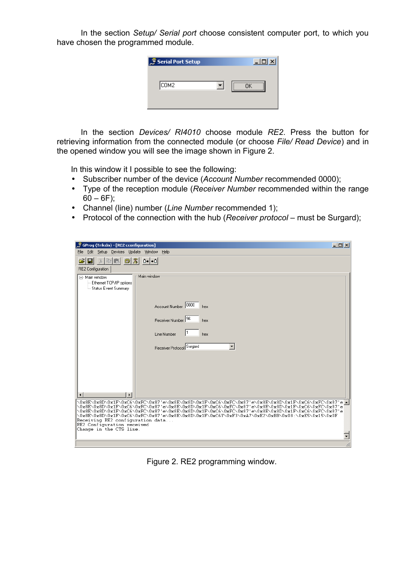In the section *Setup/ Serial port* choose consistent computer port, to which you have chosen the programmed module.

| Serial Port Setup | l – It |
|-------------------|--------|
| COM2              |        |

In the section *Devices/ RI4010* choose module *RE2*. Press the button for retrieving information from the connected module (or choose *File/ Read Device*) and in the opened window you will see the image shown in Figure 2.

In this window it I possible to see the following:

- Subscriber number of the device (*Account Number* recommended 0000);
- Type of the reception module (*Receiver Number* recommended within the range  $60 - 6F$ ;
- Channel (line) number (*Line Number* recommended 1);
- Protocol of the connection with the hub (*Receiver protocol* must be Surgard);

| $\bar{\mathcal{F}}$ GProg (Trikdis) - [RE2 cconfiguration]<br>Edit Setup Devices Update Window<br>Help<br>File                                                                                                                                                                                                                                                                                                                                                                              | $   x$ |  |
|---------------------------------------------------------------------------------------------------------------------------------------------------------------------------------------------------------------------------------------------------------------------------------------------------------------------------------------------------------------------------------------------------------------------------------------------------------------------------------------------|--------|--|
| $ \mathcal{R} $<br>3. 电<br>$ 0+ +0 $<br>9<br>魯<br>RE2 Configuration                                                                                                                                                                                                                                                                                                                                                                                                                         |        |  |
| Main window<br>日· Main window<br>-- Ethernet TCP/IP options<br><sup>L.</sup> Status Event Summary                                                                                                                                                                                                                                                                                                                                                                                           |        |  |
| Account Number 0000<br>hex                                                                                                                                                                                                                                                                                                                                                                                                                                                                  |        |  |
| Receiver Number 96<br>hex                                                                                                                                                                                                                                                                                                                                                                                                                                                                   |        |  |
| Line Number<br>hex                                                                                                                                                                                                                                                                                                                                                                                                                                                                          |        |  |
| Receiver Protocol Surgard                                                                                                                                                                                                                                                                                                                                                                                                                                                                   |        |  |
|                                                                                                                                                                                                                                                                                                                                                                                                                                                                                             |        |  |
|                                                                                                                                                                                                                                                                                                                                                                                                                                                                                             |        |  |
| $\blacktriangleright$                                                                                                                                                                                                                                                                                                                                                                                                                                                                       |        |  |
| \0x8E\0x8D\0x1F\0xC6\0xFC\0x87'e\0x8E\0x8D\0x1F\0xC6\0xFC\0x87'e\0x8E\0x8D\0x1F\0xC6\0xFC\0x87'e <mark>_</mark><br>\Ox8E\Ox8D\Ox1F\OxC6\OxFC\Ox87'e\Ox8E\Ox8D\Ox1F\OxC6\OxFC\Ox87'e\Ox8E\Ox8D\Ox1F\OxC6\OxFC\Ox87'e<br>\0x8E\0x8D\0x1F\0xC6\0xFC\0x87'e\0x8E\0x8D\0x1F\0xC6\0xFC\0x87'e\0x8E\0x8D\0x1F\0xC6\0xFC\0x87'e<br>\0x8E\0x8D\0x1F\0xC6\0xFC\0x87'e\0x8E\0x8D\0x1F\0xC6Y\0xF3\0xA7\0xE2\0xBB\0x08:\0xE5\0x15\0x0F<br>Receiving RE2 configuration data<br>RE2 Configuration received |        |  |
| Change in the CTS line.                                                                                                                                                                                                                                                                                                                                                                                                                                                                     |        |  |
|                                                                                                                                                                                                                                                                                                                                                                                                                                                                                             |        |  |

Figure 2. RE2 programming window.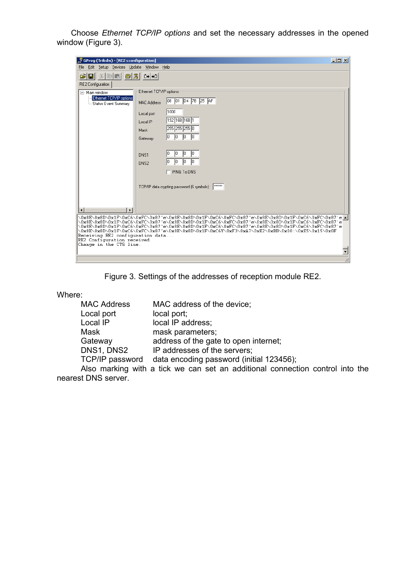Choose *Ethernet TCP/IP options* and set the necessary addresses in the opened window (Figure 3).

| $-10x$<br>GProg (Trikdis) - [RE2 cconfiguration]                                                                                                                                                   |                                                                                                                 |  |
|----------------------------------------------------------------------------------------------------------------------------------------------------------------------------------------------------|-----------------------------------------------------------------------------------------------------------------|--|
| Edit Setup Devices Update Window Help<br>File                                                                                                                                                      |                                                                                                                 |  |
| ĉ<br>$x$ and<br>al                                                                                                                                                                                 |                                                                                                                 |  |
| RE2 Configuration                                                                                                                                                                                  |                                                                                                                 |  |
| 日· Main window<br>Ethernet TCP/IP options                                                                                                                                                          | Ethernet TCP/IP options:                                                                                        |  |
| - Status Event Summary                                                                                                                                                                             | 08  01  D4  7B  25  AF<br><b>MAC Address</b>                                                                    |  |
|                                                                                                                                                                                                    | 1000<br>Local port                                                                                              |  |
|                                                                                                                                                                                                    | 192 168 168 1<br>Local IP                                                                                       |  |
|                                                                                                                                                                                                    | 255 255 255 0<br>Mask                                                                                           |  |
|                                                                                                                                                                                                    | 10<br>10<br>IO.<br>10.<br>Gateway                                                                               |  |
|                                                                                                                                                                                                    |                                                                                                                 |  |
|                                                                                                                                                                                                    | 10<br>10<br>IO.<br>DNS1                                                                                         |  |
|                                                                                                                                                                                                    | Iо<br>10.<br>Iо<br>DNS2                                                                                         |  |
|                                                                                                                                                                                                    | $\Box$ PING To DNS                                                                                              |  |
|                                                                                                                                                                                                    |                                                                                                                 |  |
|                                                                                                                                                                                                    | <b>RXXXXX</b><br>TCP/IP data crypting password (6 symbols):                                                     |  |
|                                                                                                                                                                                                    |                                                                                                                 |  |
| $\blacktriangleright$<br>$\left  \cdot \right $                                                                                                                                                    |                                                                                                                 |  |
|                                                                                                                                                                                                    | \Ox8E\Ox8D\Ox1F\OxC6\OxFC\Ox87'e\Ox8E\Ox8D\Ox1F\OxC6\OxFC\Ox87'e\Ox8E\Ox8D\Ox1F\OxC6\OxFC\Ox87'e <mark>_</mark> |  |
|                                                                                                                                                                                                    | \Ox8E\Ox8D\Ox1F\OxC6\OxFC\Ox87'e\Ox8E\Ox8D\Ox1F\OxC6\OxFC\Ox87'e\Ox8E\Ox8D\Ox1F\OxC6\OxFC\Ox87'e                |  |
| \0x8E\0x8D\0x1F\0xC6\0xFC\0x87'e\0x8E\0x8D\0x1F\0xC6\0xFC\0x87'e\0x8E\0x8D\0x1F\0xC6\0xFC\0x87'e<br>\0x8E\0x8D\0x1F\0xC6\0xFC\0x87'e\0x8E\0x8D\0x1F\0xC6Y\0xF3\0xA7\0xE2\0xBB\0x08:\0xE5\0x15\0x0F |                                                                                                                 |  |
| Receiving RE2 configuration data<br>RE2 Configuration received                                                                                                                                     |                                                                                                                 |  |
| Change in the CTS line.                                                                                                                                                                            |                                                                                                                 |  |
|                                                                                                                                                                                                    |                                                                                                                 |  |
|                                                                                                                                                                                                    |                                                                                                                 |  |

Figure 3. Settings of the addresses of reception module RE2.

Where:

| <b>MAC Address</b> | MAC address of the device;                                                    |
|--------------------|-------------------------------------------------------------------------------|
| Local port         | local port;                                                                   |
| Local IP           | local IP address;                                                             |
| Mask               | mask parameters;                                                              |
| Gateway            | address of the gate to open internet;                                         |
| DNS1, DNS2         | IP addresses of the servers;                                                  |
| TCP/IP password    | data encoding password (initial 123456);                                      |
|                    | Also marking with a tick we can set an additional connection control into the |

nearest DNS server.